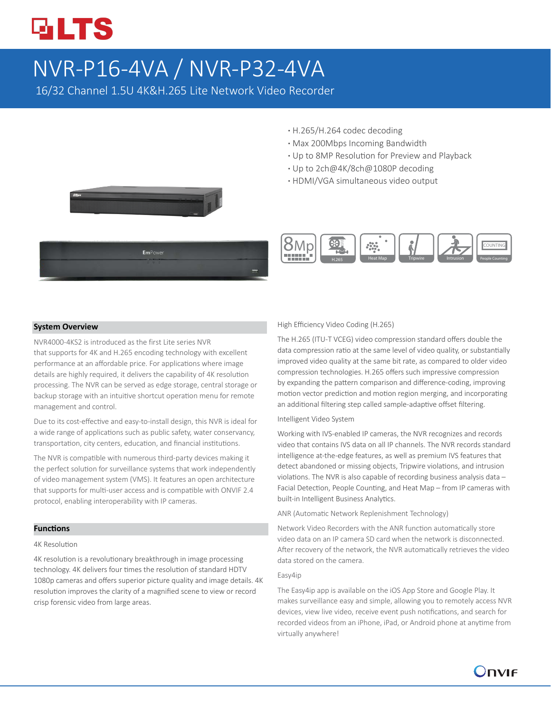# **GLTS**

## NVR-P16-4VA / NVR-P32-4VA

16/32 Channel 1.5U 4K&H.265 Lite Network Video Recorder

- **·** H.265/H.264 codec decoding
- **·** Max 200Mbps Incoming Bandwidth
- **·** Up to 8MP Resolution for Preview and Playback
- **·** Up to 2ch@4K/8ch@1080P decoding
- **·** HDMI/VGA simultaneous video output





#### **System Overview**

NVR4000-4KS2 is introduced as the first Lite series NVR that supports for 4K and H.265 encoding technology with excellent performance at an affordable price. For applications where image details are highly required, it delivers the capability of 4K resolution processing. The NVR can be served as edge storage, central storage or backup storage with an intuitive shortcut operation menu for remote management and control.

Due to its cost-effective and easy-to-install design, this NVR is ideal for a wide range of applications such as public safety, water conservancy, transportation, city centers, education, and financial institutions.

The NVR is compatible with numerous third-party devices making it the perfect solution for surveillance systems that work independently of video management system (VMS). It features an open architecture that supports for multi-user access and is compatible with ONVIF 2.4 protocol, enabling interoperability with IP cameras.

#### **Functions**

#### 4K Resolution

4K resolution is a revolutionary breakthrough in image processing technology. 4K delivers four times the resolution of standard HDTV 1080p cameras and offers superior picture quality and image details. 4K resolution improves the clarity of a magnified scene to view or record crisp forensic video from large areas.

#### High Efficiency Video Coding (H.265)

The H.265 (ITU-T VCEG) video compression standard offers double the data compression ratio at the same level of video quality, or substantially improved video quality at the same bit rate, as compared to older video compression technologies. H.265 offers such impressive compression by expanding the pattern comparison and difference-coding, improving motion vector prediction and motion region merging, and incorporating an additional filtering step called sample-adaptive offset filtering.

#### Intelligent Video System

Working with IVS-enabled IP cameras, the NVR recognizes and records video that contains IVS data on all IP channels. The NVR records standard intelligence at-the-edge features, as well as premium IVS features that detect abandoned or missing objects, Tripwire violations, and intrusion violations. The NVR is also capable of recording business analysis data – Facial Detection, People Counting, and Heat Map – from IP cameras with built-in Intelligent Business Analytics.

ANR (Automatic Network Replenishment Technology)

Network Video Recorders with the ANR function automatically store video data on an IP camera SD card when the network is disconnected. After recovery of the network, the NVR automatically retrieves the video data stored on the camera.

#### Easy4ip

The Easy4ip app is available on the iOS App Store and Google Play. It makes surveillance easy and simple, allowing you to remotely access NVR devices, view live video, receive event push notifications, and search for recorded videos from an iPhone, iPad, or Android phone at anytime from virtually anywhere!

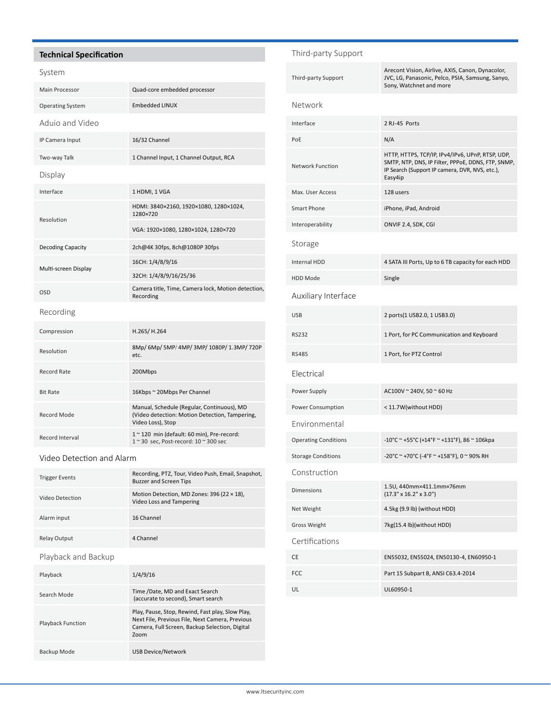#### **Technical Specification**

#### System

| Main Processor           | Quad-core embedded processor                                                                                      |  |
|--------------------------|-------------------------------------------------------------------------------------------------------------------|--|
| <b>Operating System</b>  | <b>Embedded LINUX</b>                                                                                             |  |
| Aduio and Video          |                                                                                                                   |  |
| IP Camera Input          | 16/32 Channel                                                                                                     |  |
| Two-way Talk             | 1 Channel Input, 1 Channel Output, RCA                                                                            |  |
| Display                  |                                                                                                                   |  |
| Interface                | 1 HDMI, 1 VGA                                                                                                     |  |
| Resolution               | HDMI: 3840×2160, 1920×1080, 1280×1024,<br>1280×720                                                                |  |
|                          | VGA: 1920×1080, 1280×1024, 1280×720                                                                               |  |
| <b>Decoding Capacity</b> | 2ch@4K 30fps, 8ch@1080P 30fps                                                                                     |  |
| Multi-screen Display     | 16CH: 1/4/8/9/16                                                                                                  |  |
|                          | 32CH: 1/4/8/9/16/25/36                                                                                            |  |
| <b>OSD</b>               | Camera title, Time, Camera lock, Motion detection,<br>Recording                                                   |  |
| Recording                |                                                                                                                   |  |
| Compression              | H.265/H.264                                                                                                       |  |
| Resolution               | 8Mp/ 6Mp/ 5MP/ 4MP/ 3MP/ 1080P/ 1.3MP/ 720P<br>etc.                                                               |  |
| <b>Record Rate</b>       | 200Mbps                                                                                                           |  |
| <b>Bit Rate</b>          | 16Kbps ~ 20Mbps Per Channel                                                                                       |  |
| Record Mode              | Manual, Schedule (Regular, Continuous), MD<br>(Video detection: Motion Detection, Tampering,<br>Video Loss), Stop |  |
| Record Interval          | 1~120 min (default: 60 min), Pre-record:<br>1~30 sec, Post-record: 10~300 sec                                     |  |

#### Video Detection and Alarm

| <b>Trigger Events</b>    | Recording, PTZ, Tour, Video Push, Email, Snapshot,<br><b>Buzzer and Screen Tips</b>                                                                           |  |
|--------------------------|---------------------------------------------------------------------------------------------------------------------------------------------------------------|--|
| Video Detection          | Motion Detection, MD Zones: 396 (22 $\times$ 18),<br>Video Loss and Tampering                                                                                 |  |
| Alarm input              | 16 Channel                                                                                                                                                    |  |
| <b>Relay Output</b>      | 4 Channel                                                                                                                                                     |  |
| Playback and Backup      |                                                                                                                                                               |  |
| Playback                 | 1/4/9/16                                                                                                                                                      |  |
| Search Mode              | Time /Date, MD and Exact Search<br>(accurate to second), Smart search                                                                                         |  |
| <b>Playback Function</b> | Play, Pause, Stop, Rewind, Fast play, Slow Play,<br>Next File, Previous File, Next Camera, Previous<br>Camera, Full Screen, Backup Selection, Digital<br>Zoom |  |

Backup Mode USB Device/Network

### Third-party Support Third-party Support Arecont Vision, Airlive, AXIS, Canon, Dynacolor, JVC, LG, Panasonic, Pelco, PSIA, Samsung, Sanyo, Sony, Watchnet and more Network Interface 2 RJ-45 Ports PoE N/A Network Function HTTP, HTTPS, TCP/IP, IPv4/IPv6, UPnP, RTSP, UDP, SMTP, NTP, DNS, IP Filter, PPPoE, DDNS, FTP, SNMP, IP Search (Support IP camera, DVR, NVS, etc.), Easy4ip Max. User Access 128 users Smart Phone iPhone, iPad, Android Interoperability ONVIF 2.4, SDK, CGI Storage Internal HDD 4 SATA III Ports, Up to 6 TB capacity for each HDD HDD Mode Single Auxiliary Interface USB 2 ports(1 USB2.0, 1 USB3.0) RS232 1 Port, for PC Communication and Keyboard RS485 1 Port, for PTZ Control Electrical Power Supply **AC100V** ~ 240V, 50 ~ 60 Hz Power Consumption < 11.7W(without HDD) Environmental Operating Conditions  $-10^{\circ}$ C ~ +55 $^{\circ}$ C (+14 $^{\circ}$ F ~ +131 $^{\circ}$ F), 86 ~ 106kpa Storage Conditions -20°C ~ +70°C (-4°F ~ +158°F), 0 ~ 90% RH Construction Dimensions 1.5U, 440mm×411.1mm×76mm  $(17.3" \times 16.2" \times 3.0")$ Net Weight 4.5kg (9.9 lb) (without HDD) Gross Weight 7kg(15.4 lb)(without HDD) Certifications CE EN55032, EN55024, EN50130-4, EN60950-1 FCC Part 15 Subpart B, ANSI C63.4-2014 UL UL60950-1